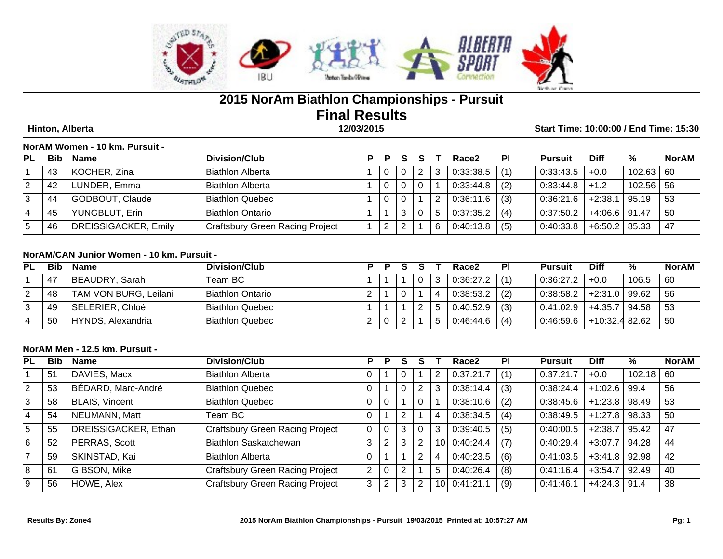

# **2015 NorAm Biathlon Championships - Pursuit Final Results Hinton, Alberta 12/03/2015 Start Time: 10:00:00 / End Time: 15:30**

| NorAM Women - 10 km. Pursuit - |  |
|--------------------------------|--|
|--------------------------------|--|

| <b>PL</b> | <b>Bib</b> | Name                 | Division/Club                          |   |  | Race2     | ΡI  | <b>Pursuit</b> | <b>Diff</b>     | %           | <b>NorAM</b> |
|-----------|------------|----------------------|----------------------------------------|---|--|-----------|-----|----------------|-----------------|-------------|--------------|
|           | 43         | KOCHER, Zina         | <b>Biathlon Alberta</b>                |   |  | 0.33.38.5 | (1) | 0:33:43.5      | $+0.0$          | 102.63      | 60           |
|           | 42         | LUNDER, Emma         | <b>Biathlon Alberta</b>                |   |  | 0:33:44.8 | (2) | 0:33:44.8      | $+1.2$          | $102.56$ 56 |              |
|           | 44         | GODBOUT, Claude      | <b>Biathlon Quebec</b>                 |   |  | 0:36:11.6 | (3) | 0:36:21.6      | $+2:38.1$       | 95.19       | 53           |
|           | 45         | YUNGBLUT, Erin       | <b>Biathlon Ontario</b>                |   |  | 0:37:35.2 | (4) | 0:37:50.2      | $+4.06.6$ 91.47 |             | 50           |
|           | 46         | DREISSIGACKER, Emily | <b>Craftsbury Green Racing Project</b> | ົ |  | 0:40:13.8 | (5) | 0:40:33.8      | $+6:50.2$       | 85.33       | 47           |

### **NorAM/CAN Junior Women - 10 km. Pursuit -**

| <b>PL</b> | <b>Bib</b> | <b>Name</b>           | Division/Club           |  |  | Race2     | PI  | <b>Pursuit</b> | <b>Diff</b>     | ℅     | <b>NorAM</b> |
|-----------|------------|-----------------------|-------------------------|--|--|-----------|-----|----------------|-----------------|-------|--------------|
|           | -47        | BEAUDRY, Sarah        | Team BC                 |  |  | 0:36:27.2 |     | 0:36:27.2      | $+0.0$          | 106.5 | 60           |
|           | 48         | TAM VON BURG, Leilani | <b>Biathlon Ontario</b> |  |  | 0:38:53.2 | (2) | 0:38:58.2      | $+2:31.0$ 99.62 |       | 56           |
|           | 49         | SELERIER, Chloé       | <b>Biathlon Quebec</b>  |  |  | 0:40:52.9 | (3) | 0:41:02.9      | +4:35.7   94.58 |       | -53          |
|           | 50         | HYNDS, Alexandria     | <b>Biathlon Quebec</b>  |  |  | 0:46:44.6 | (4) | 0:46:59.6      | +10:32.4 82.62  |       | 50           |

### **NorAM Men - 12.5 km. Pursuit -**

| <b>PL</b>      | <b>Bib</b>     | <b>Name</b>           | Division/Club                          | Р | Р | S |   |   | Race2        | <b>PI</b> | Pursuit   | <b>Diff</b> | %      | <b>NorAM</b> |
|----------------|----------------|-----------------------|----------------------------------------|---|---|---|---|---|--------------|-----------|-----------|-------------|--------|--------------|
|                | 5 <sup>1</sup> | DAVIES, Macx          | <b>Biathlon Alberta</b>                | 0 |   |   |   | 2 | 0:37:21.7    | (1)       | 0:37:21.7 | $+0.0$      | 102.18 | 60           |
| $\overline{2}$ | 53             | BÉDARD, Marc-André    | <b>Biathlon Quebec</b>                 |   |   |   | າ | 3 | 0:38:14.4    | (3)       | 0:38:24.4 | $+1:02.6$   | 99.4   | 56           |
| 3              | 58             | <b>BLAIS, Vincent</b> | <b>Biathlon Quebec</b>                 |   |   |   |   |   | 0:38:10.6    | (2)       | 0:38:45.6 | $+1:23.8$   | 98.49  | 53           |
| 4              | 54             | NEUMANN, Matt         | Team BC                                | 0 |   | ົ |   | 4 | 0:38:34.5    | (4)       | 0:38:49.5 | $+1:27.8$   | 98.33  | 50           |
| 5              | 55             | DREISSIGACKER, Ethan  | <b>Craftsbury Green Racing Project</b> | 0 |   | 3 |   | 3 | 0:39:40.5    | (5)       | 0:40:00.5 | $+2:38.7$   | 95.42  | 47           |
| 6              | 52             | PERRAS, Scott         | Biathlon Saskatchewan                  | 3 | ົ | 3 |   |   | 10 0:40:24.4 | (7)       | 0:40:29.4 | $+3:07.7$   | 94.28  | 44           |
|                | 59             | SKINSTAD, Kai         | <b>Biathlon Alberta</b>                |   |   |   |   | 4 | 0.40:23.5    | (6)       | 0:41:03.5 | $+3:41.8$   | 92.98  | 42           |
| 8              | 61             | GIBSON, Mike          | Craftsbury Green Racing Project        | 2 |   |   |   | 5 | 0.40.26.4    | (8)       | 0:41:16.4 | $+3:54.7$   | 92.49  | 40           |
| 9              | 56             | HOWE, Alex            | <b>Craftsbury Green Racing Project</b> | 3 | ົ | 3 |   |   | 10 0:41:21.1 | (9)       | 0:41:46.1 | $+4:24.3$   | 91.4   | 38           |